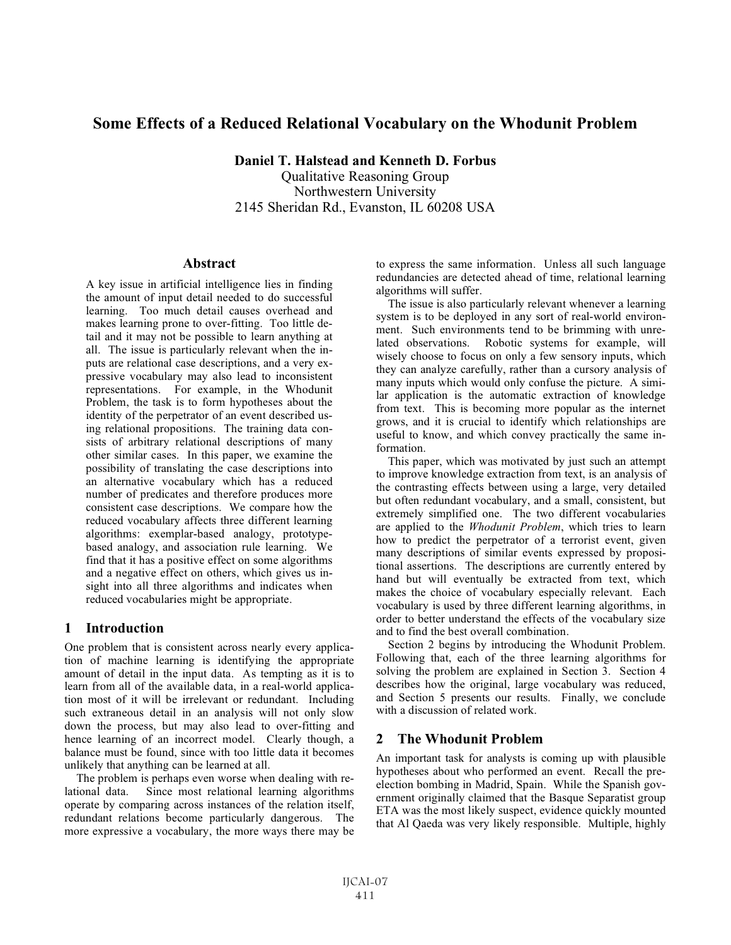# **Some Effects of a Reduced Relational Vocabulary on the Whodunit Problem**

**Daniel T. Halstead and Kenneth D. Forbus** Qualitative Reasoning Group Northwestern University 2145 Sheridan Rd., Evanston, IL 60208 USA

#### **Abstract**

A key issue in artificial intelligence lies in finding the amount of input detail needed to do successful learning. Too much detail causes overhead and makes learning prone to over-fitting. Too little detail and it may not be possible to learn anything at all. The issue is particularly relevant when the inputs are relational case descriptions, and a very expressive vocabulary may also lead to inconsistent representations. For example, in the Whodunit Problem, the task is to form hypotheses about the identity of the perpetrator of an event described using relational propositions. The training data consists of arbitrary relational descriptions of many other similar cases. In this paper, we examine the possibility of translating the case descriptions into an alternative vocabulary which has a reduced number of predicates and therefore produces more consistent case descriptions. We compare how the reduced vocabulary affects three different learning algorithms: exemplar-based analogy, prototypebased analogy, and association rule learning. We find that it has a positive effect on some algorithms and a negative effect on others, which gives us insight into all three algorithms and indicates when reduced vocabularies might be appropriate.

## **1 Introduction**

One problem that is consistent across nearly every application of machine learning is identifying the appropriate amount of detail in the input data. As tempting as it is to learn from all of the available data, in a real-world application most of it will be irrelevant or redundant. Including such extraneous detail in an analysis will not only slow down the process, but may also lead to over-fitting and hence learning of an incorrect model. Clearly though, a balance must be found, since with too little data it becomes unlikely that anything can be learned at all.

The problem is perhaps even worse when dealing with relational data. Since most relational learning algorithms operate by comparing across instances of the relation itself, redundant relations become particularly dangerous. The more expressive a vocabulary, the more ways there may be to express the same information. Unless all such language redundancies are detected ahead of time, relational learning algorithms will suffer.

The issue is also particularly relevant whenever a learning system is to be deployed in any sort of real-world environment. Such environments tend to be brimming with unrelated observations. Robotic systems for example, will wisely choose to focus on only a few sensory inputs, which they can analyze carefully, rather than a cursory analysis of many inputs which would only confuse the picture. A similar application is the automatic extraction of knowledge from text. This is becoming more popular as the internet grows, and it is crucial to identify which relationships are useful to know, and which convey practically the same information.

This paper, which was motivated by just such an attempt to improve knowledge extraction from text, is an analysis of the contrasting effects between using a large, very detailed but often redundant vocabulary, and a small, consistent, but extremely simplified one. The two different vocabularies are applied to the *Whodunit Problem*, which tries to learn how to predict the perpetrator of a terrorist event, given many descriptions of similar events expressed by propositional assertions. The descriptions are currently entered by hand but will eventually be extracted from text, which makes the choice of vocabulary especially relevant. Each vocabulary is used by three different learning algorithms, in order to better understand the effects of the vocabulary size and to find the best overall combination.

Section 2 begins by introducing the Whodunit Problem. Following that, each of the three learning algorithms for solving the problem are explained in Section 3. Section 4 describes how the original, large vocabulary was reduced, and Section 5 presents our results. Finally, we conclude with a discussion of related work.

## **2 The Whodunit Problem**

An important task for analysts is coming up with plausible hypotheses about who performed an event. Recall the preelection bombing in Madrid, Spain. While the Spanish government originally claimed that the Basque Separatist group ETA was the most likely suspect, evidence quickly mounted that Al Qaeda was very likely responsible. Multiple, highly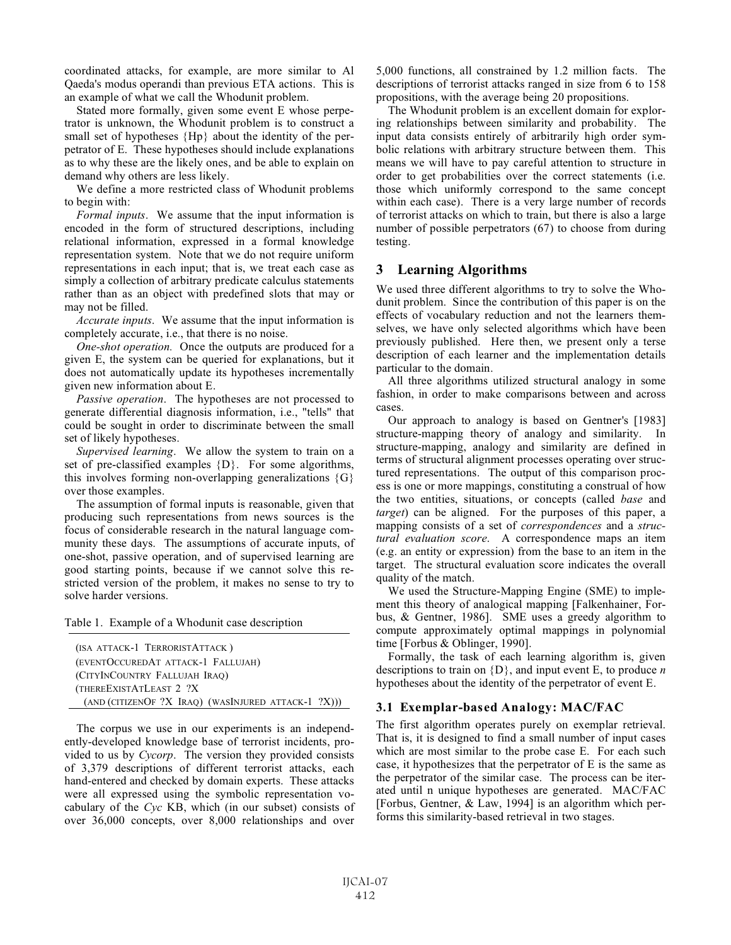coordinated attacks, for example, are more similar to Al Qaeda's modus operandi than previous ETA actions. This is an example of what we call the Whodunit problem.

Stated more formally, given some event E whose perpetrator is unknown, the Whodunit problem is to construct a small set of hypotheses {Hp} about the identity of the perpetrator of E. These hypotheses should include explanations as to why these are the likely ones, and be able to explain on demand why others are less likely.

We define a more restricted class of Whodunit problems to begin with:

*Formal inputs*. We assume that the input information is encoded in the form of structured descriptions, including relational information, expressed in a formal knowledge representation system. Note that we do not require uniform representations in each input; that is, we treat each case as simply a collection of arbitrary predicate calculus statements rather than as an object with predefined slots that may or may not be filled.

*Accurate inputs*. We assume that the input information is completely accurate, i.e., that there is no noise.

*One-shot operation.* Once the outputs are produced for a given E, the system can be queried for explanations, but it does not automatically update its hypotheses incrementally given new information about E.

*Passive operation*. The hypotheses are not processed to generate differential diagnosis information, i.e., "tells" that could be sought in order to discriminate between the small set of likely hypotheses.

*Supervised learning*. We allow the system to train on a set of pre-classified examples {D}. For some algorithms, this involves forming non-overlapping generalizations  ${G}$ over those examples.

The assumption of formal inputs is reasonable, given that producing such representations from news sources is the focus of considerable research in the natural language community these days. The assumptions of accurate inputs, of one-shot, passive operation, and of supervised learning are good starting points, because if we cannot solve this restricted version of the problem, it makes no sense to try to solve harder versions.

Table 1. Example of a Whodunit case description

| (ISA ATTACK-1 TERRORISTATTACK)                        |
|-------------------------------------------------------|
| (EVENTOCCUREDAT ATTACK-1 FALLUJAH)                    |
| (CITYINCOUNTRY FALLUJAH IRAO)                         |
| (THEREEXISTATLEAST 2 ?X)                              |
| $(AND (CITIZENOF ?X IRAQ) (WASINJURED ATTACK-1 ?X)))$ |

The corpus we use in our experiments is an independently-developed knowledge base of terrorist incidents, provided to us by *Cycorp*. The version they provided consists of 3,379 descriptions of different terrorist attacks, each hand-entered and checked by domain experts. These attacks were all expressed using the symbolic representation vocabulary of the *Cyc* KB, which (in our subset) consists of over 36,000 concepts, over 8,000 relationships and over 5,000 functions, all constrained by 1.2 million facts. The descriptions of terrorist attacks ranged in size from 6 to 158 propositions, with the average being 20 propositions.

The Whodunit problem is an excellent domain for exploring relationships between similarity and probability. The input data consists entirely of arbitrarily high order symbolic relations with arbitrary structure between them. This means we will have to pay careful attention to structure in order to get probabilities over the correct statements (i.e. those which uniformly correspond to the same concept within each case). There is a very large number of records of terrorist attacks on which to train, but there is also a large number of possible perpetrators (67) to choose from during testing.

#### **3 Learning Algorithms**

We used three different algorithms to try to solve the Whodunit problem. Since the contribution of this paper is on the effects of vocabulary reduction and not the learners themselves, we have only selected algorithms which have been previously published. Here then, we present only a terse description of each learner and the implementation details particular to the domain.

All three algorithms utilized structural analogy in some fashion, in order to make comparisons between and across cases.

Our approach to analogy is based on Gentner's [1983] structure-mapping theory of analogy and similarity. In structure-mapping, analogy and similarity are defined in terms of structural alignment processes operating over structured representations. The output of this comparison process is one or more mappings, constituting a construal of how the two entities, situations, or concepts (called *base* and *target*) can be aligned. For the purposes of this paper, a mapping consists of a set of *correspondences* and a *structural evaluation score*. A correspondence maps an item (e.g. an entity or expression) from the base to an item in the target. The structural evaluation score indicates the overall quality of the match.

We used the Structure-Mapping Engine (SME) to implement this theory of analogical mapping [Falkenhainer, Forbus, & Gentner, 1986]. SME uses a greedy algorithm to compute approximately optimal mappings in polynomial time [Forbus & Oblinger, 1990].

Formally, the task of each learning algorithm is, given descriptions to train on {D}, and input event E, to produce *n* hypotheses about the identity of the perpetrator of event E.

#### **3.1 Exemplar-based Analogy: MAC/FAC**

The first algorithm operates purely on exemplar retrieval. That is, it is designed to find a small number of input cases which are most similar to the probe case E. For each such case, it hypothesizes that the perpetrator of E is the same as the perpetrator of the similar case. The process can be iterated until n unique hypotheses are generated. MAC/FAC [Forbus, Gentner, & Law, 1994] is an algorithm which performs this similarity-based retrieval in two stages.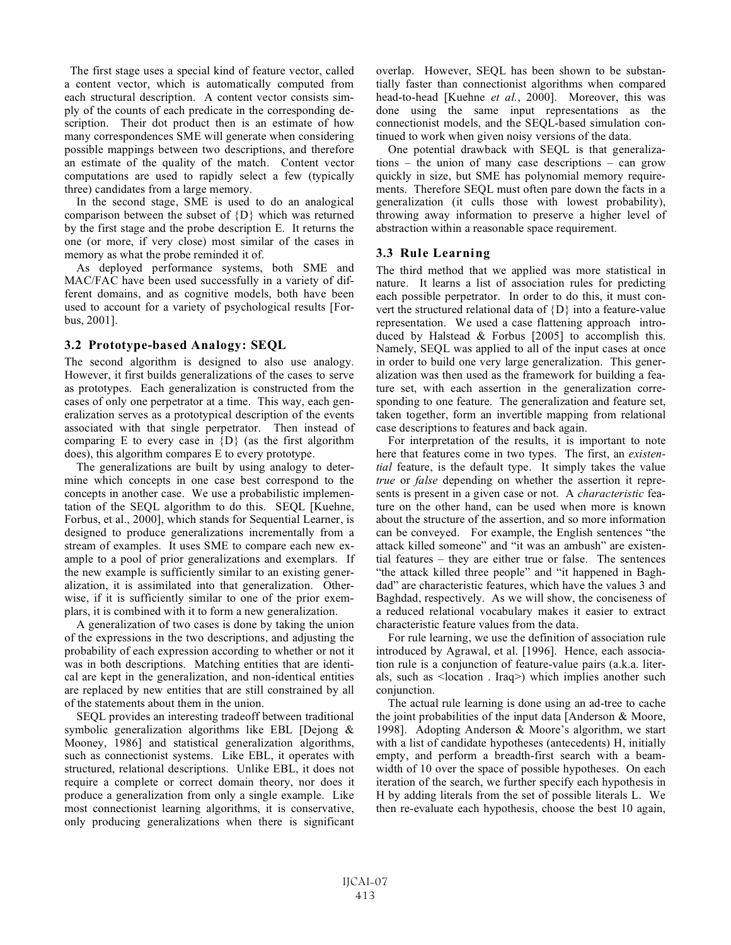The first stage uses a special kind of feature vector, called a content vector, which is automatically computed from each structural description. A content vector consists simply of the counts of each predicate in the corresponding description. Their dot product then is an estimate of how many correspondences SME will generate when considering possible mappings between two descriptions, and therefore an estimate of the quality of the match. Content vector computations are used to rapidly select a few (typically three) candidates from a large memory.

In the second stage, SME is used to do an analogical comparison between the subset of {D} which was returned by the first stage and the probe description E. It returns the one (or more, if very close) most similar of the cases in memory as what the probe reminded it of.

As deployed performance systems, both SME and MAC/FAC have been used successfully in a variety of different domains, and as cognitive models, both have been used to account for a variety of psychological results [Forbus, 2001].

#### **3.2 Prototype-based Analogy: SEQL**

The second algorithm is designed to also use analogy. However, it first builds generalizations of the cases to serve as prototypes. Each generalization is constructed from the cases of only one perpetrator at a time. This way, each generalization serves as a prototypical description of the events associated with that single perpetrator. Then instead of comparing E to every case in  ${D}$  (as the first algorithm does), this algorithm compares E to every prototype.

The generalizations are built by using analogy to determine which concepts in one case best correspond to the concepts in another case. We use a probabilistic implementation of the SEQL algorithm to do this. SEQL [Kuehne, Forbus, et al., 2000], which stands for Sequential Learner, is designed to produce generalizations incrementally from a stream of examples. It uses SME to compare each new example to a pool of prior generalizations and exemplars. If the new example is sufficiently similar to an existing generalization, it is assimilated into that generalization. Otherwise, if it is sufficiently similar to one of the prior exemplars, it is combined with it to form a new generalization.

A generalization of two cases is done by taking the union of the expressions in the two descriptions, and adjusting the probability of each expression according to whether or not it was in both descriptions. Matching entities that are identical are kept in the generalization, and non-identical entities are replaced by new entities that are still constrained by all of the statements about them in the union.

SEQL provides an interesting tradeoff between traditional symbolic generalization algorithms like EBL [Dejong & Mooney, 1986] and statistical generalization algorithms, such as connectionist systems. Like EBL, it operates with structured, relational descriptions. Unlike EBL, it does not require a complete or correct domain theory, nor does it produce a generalization from only a single example. Like most connectionist learning algorithms, it is conservative, only producing generalizations when there is significant overlap. However, SEQL has been shown to be substantially faster than connectionist algorithms when compared head-to-head [Kuehne *et al.*, 2000]. Moreover, this was done using the same input representations as the connectionist models, and the SEQL-based simulation continued to work when given noisy versions of the data.

One potential drawback with SEQL is that generalizations – the union of many case descriptions – can grow quickly in size, but SME has polynomial memory requirements. Therefore SEQL must often pare down the facts in a generalization (it culls those with lowest probability), throwing away information to preserve a higher level of abstraction within a reasonable space requirement.

## **3.3 Rule Learning**

The third method that we applied was more statistical in nature. It learns a list of association rules for predicting each possible perpetrator. In order to do this, it must convert the structured relational data of {D} into a feature-value representation. We used a case flattening approach introduced by Halstead & Forbus [2005] to accomplish this. Namely, SEQL was applied to all of the input cases at once in order to build one very large generalization. This generalization was then used as the framework for building a feature set, with each assertion in the generalization corresponding to one feature. The generalization and feature set, taken together, form an invertible mapping from relational case descriptions to features and back again.

For interpretation of the results, it is important to note here that features come in two types. The first, an *existential* feature, is the default type. It simply takes the value *true* or *false* depending on whether the assertion it represents is present in a given case or not. A *characteristic* feature on the other hand, can be used when more is known about the structure of the assertion, and so more information can be conveyed. For example, the English sentences "the attack killed someone" and "it was an ambush" are existential features – they are either true or false. The sentences "the attack killed three people" and "it happened in Baghdad" are characteristic features, which have the values 3 and Baghdad, respectively. As we will show, the conciseness of a reduced relational vocabulary makes it easier to extract characteristic feature values from the data.

For rule learning, we use the definition of association rule introduced by Agrawal, et al. [1996]. Hence, each association rule is a conjunction of feature-value pairs (a.k.a. literals, such as <location . Iraq>) which implies another such conjunction.

The actual rule learning is done using an ad-tree to cache the joint probabilities of the input data [Anderson & Moore, 1998]. Adopting Anderson & Moore's algorithm, we start with a list of candidate hypotheses (antecedents) H, initially empty, and perform a breadth-first search with a beamwidth of 10 over the space of possible hypotheses. On each iteration of the search, we further specify each hypothesis in H by adding literals from the set of possible literals L. We then re-evaluate each hypothesis, choose the best 10 again,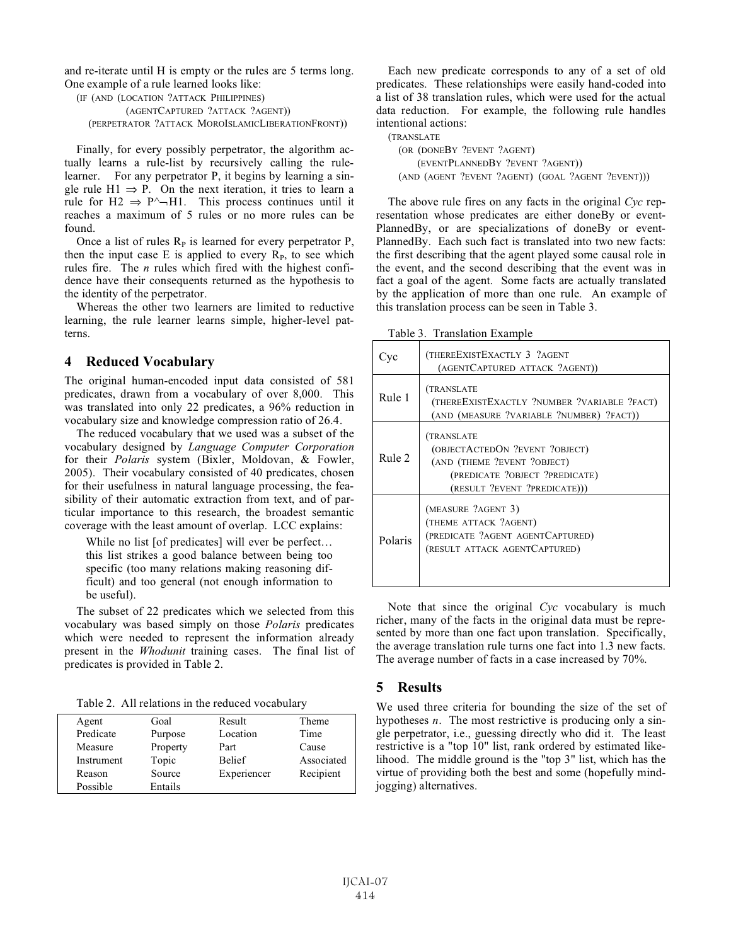and re-iterate until H is empty or the rules are 5 terms long. One example of a rule learned looks like:

```
(IF (AND (LOCATION ?ATTACK PHILIPPINES)
       (AGENTCAPTURED ?ATTACK ?AGENT))
(PERPETRATOR ?ATTACK MOROISLAMICLIBERATIONFRONT))
```
Finally, for every possibly perpetrator, the algorithm actually learns a rule-list by recursively calling the rulelearner. For any perpetrator P, it begins by learning a single rule  $H1 \Rightarrow P$ . On the next iteration, it tries to learn a rule for H2  $\Rightarrow$  P^ $\neg$ H1. This process continues until it reaches a maximum of 5 rules or no more rules can be found.

Once a list of rules  $R<sub>P</sub>$  is learned for every perpetrator P, then the input case E is applied to every  $R<sub>P</sub>$ , to see which rules fire. The *n* rules which fired with the highest confidence have their consequents returned as the hypothesis to the identity of the perpetrator.

Whereas the other two learners are limited to reductive learning, the rule learner learns simple, higher-level patterns.

## **4 Reduced Vocabulary**

The original human-encoded input data consisted of 581 predicates, drawn from a vocabulary of over 8,000. This was translated into only 22 predicates, a 96% reduction in vocabulary size and knowledge compression ratio of 26.4.

The reduced vocabulary that we used was a subset of the vocabulary designed by *Language Computer Corporation* for their *Polaris* system (Bixler, Moldovan, & Fowler, 2005). Their vocabulary consisted of 40 predicates, chosen for their usefulness in natural language processing, the feasibility of their automatic extraction from text, and of particular importance to this research, the broadest semantic coverage with the least amount of overlap. LCC explains:

While no list [of predicates] will ever be perfect... this list strikes a good balance between being too specific (too many relations making reasoning difficult) and too general (not enough information to be useful).

The subset of 22 predicates which we selected from this vocabulary was based simply on those *Polaris* predicates which were needed to represent the information already present in the *Whodunit* training cases. The final list of predicates is provided in Table 2.

Table 2. All relations in the reduced vocabulary

| Agent      | Goal     | Result        | Theme      |
|------------|----------|---------------|------------|
| Predicate  | Purpose  | Location      | Time       |
| Measure    | Property | Part          | Cause      |
| Instrument | Topic    | <b>Belief</b> | Associated |
| Reason     | Source   | Experiencer   | Recipient  |
| Possible   | Entails  |               |            |

Each new predicate corresponds to any of a set of old predicates. These relationships were easily hand-coded into a list of 38 translation rules, which were used for the actual data reduction. For example, the following rule handles intentional actions:

(TRANSLATE (OR (DONEBY ?EVENT ?AGENT) (EVENTPLANNEDBY ?EVENT ?AGENT)) (AND (AGENT ?EVENT ?AGENT) (GOAL ?AGENT ?EVENT)))

The above rule fires on any facts in the original *Cyc* representation whose predicates are either doneBy or event-PlannedBy, or are specializations of doneBy or event-PlannedBy. Each such fact is translated into two new facts: the first describing that the agent played some causal role in the event, and the second describing that the event was in fact a goal of the agent. Some facts are actually translated by the application of more than one rule. An example of this translation process can be seen in Table 3.

Table 3. Translation Example

| ∪vc     | (THEREEXISTEXACTLY 3 ?AGENT<br>(AGENTCAPTURED ATTACK ?AGENT))                                                                                 |  |
|---------|-----------------------------------------------------------------------------------------------------------------------------------------------|--|
| Rule 1  | (TRANSLATE<br>(THEREEXISTEXACTLY ?NUMBER ?VARIABLE ?FACT)<br>(AND (MEASURE ?VARIABLE ?NUMBER) ?FACT))                                         |  |
| Rule 2  | (TRANSLATE<br>(OBJECTACTEDON ?EVENT ?OBJECT)<br>(AND (THEME ?EVENT ?OBJECT)<br>(PREDICATE ?OBJECT ?PREDICATE)<br>(RESULT ?EVENT ?PREDICATE))) |  |
| Polaris | (MEASURE ?AGENT 3)<br>(THEME ATTACK ?AGENT)<br>(PREDICATE ?AGENT AGENTCAPTURED)<br>(RESULT ATTACK AGENTCAPTURED)                              |  |

Note that since the original *Cyc* vocabulary is much richer, many of the facts in the original data must be represented by more than one fact upon translation. Specifically, the average translation rule turns one fact into 1.3 new facts. The average number of facts in a case increased by 70%.

## **5 Results**

We used three criteria for bounding the size of the set of hypotheses *n*. The most restrictive is producing only a single perpetrator, i.e., guessing directly who did it. The least restrictive is a "top 10" list, rank ordered by estimated likelihood. The middle ground is the "top 3" list, which has the virtue of providing both the best and some (hopefully mindjogging) alternatives.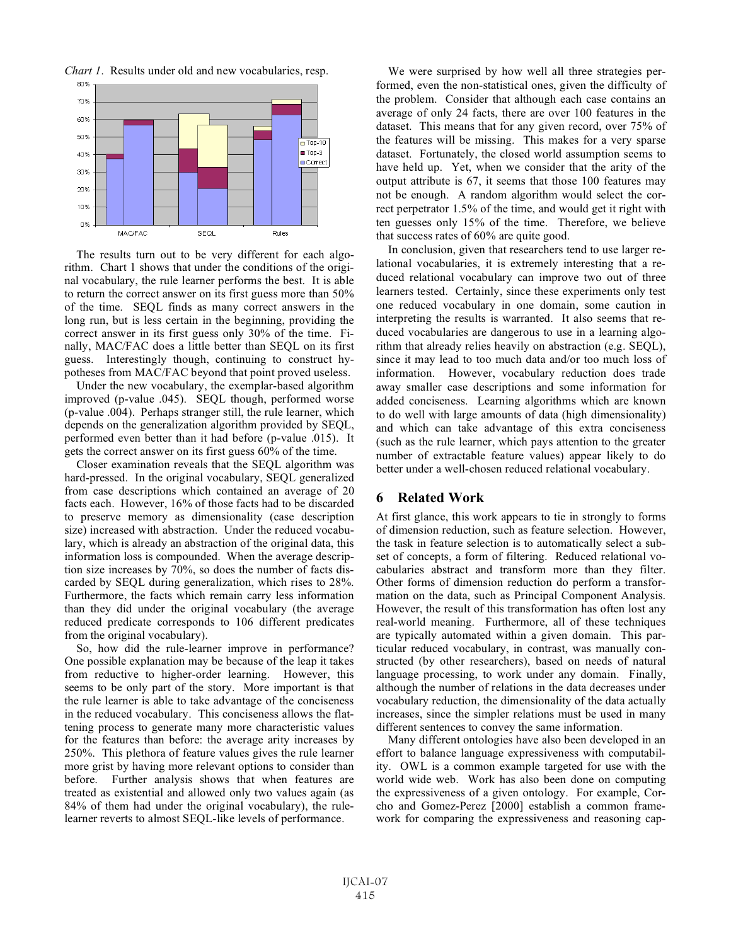



The results turn out to be very different for each algorithm. Chart 1 shows that under the conditions of the original vocabulary, the rule learner performs the best. It is able to return the correct answer on its first guess more than 50% of the time. SEQL finds as many correct answers in the long run, but is less certain in the beginning, providing the correct answer in its first guess only 30% of the time. Finally, MAC/FAC does a little better than SEQL on its first guess. Interestingly though, continuing to construct hypotheses from MAC/FAC beyond that point proved useless.

Under the new vocabulary, the exemplar-based algorithm improved (p-value .045). SEQL though, performed worse (p-value .004). Perhaps stranger still, the rule learner, which depends on the generalization algorithm provided by SEQL, performed even better than it had before (p-value .015). It gets the correct answer on its first guess 60% of the time.

Closer examination reveals that the SEQL algorithm was hard-pressed. In the original vocabulary, SEQL generalized from case descriptions which contained an average of 20 facts each. However, 16% of those facts had to be discarded to preserve memory as dimensionality (case description size) increased with abstraction. Under the reduced vocabulary, which is already an abstraction of the original data, this information loss is compounded. When the average description size increases by 70%, so does the number of facts discarded by SEQL during generalization, which rises to 28%. Furthermore, the facts which remain carry less information than they did under the original vocabulary (the average reduced predicate corresponds to 106 different predicates from the original vocabulary).

So, how did the rule-learner improve in performance? One possible explanation may be because of the leap it takes from reductive to higher-order learning. However, this seems to be only part of the story. More important is that the rule learner is able to take advantage of the conciseness in the reduced vocabulary. This conciseness allows the flattening process to generate many more characteristic values for the features than before: the average arity increases by 250%. This plethora of feature values gives the rule learner more grist by having more relevant options to consider than before. Further analysis shows that when features are treated as existential and allowed only two values again (as 84% of them had under the original vocabulary), the rulelearner reverts to almost SEQL-like levels of performance.

We were surprised by how well all three strategies performed, even the non-statistical ones, given the difficulty of the problem. Consider that although each case contains an average of only 24 facts, there are over 100 features in the dataset. This means that for any given record, over 75% of the features will be missing. This makes for a very sparse dataset. Fortunately, the closed world assumption seems to have held up. Yet, when we consider that the arity of the output attribute is 67, it seems that those 100 features may not be enough. A random algorithm would select the correct perpetrator 1.5% of the time, and would get it right with ten guesses only 15% of the time. Therefore, we believe that success rates of 60% are quite good.

In conclusion, given that researchers tend to use larger relational vocabularies, it is extremely interesting that a reduced relational vocabulary can improve two out of three learners tested. Certainly, since these experiments only test one reduced vocabulary in one domain, some caution in interpreting the results is warranted. It also seems that reduced vocabularies are dangerous to use in a learning algorithm that already relies heavily on abstraction (e.g. SEQL), since it may lead to too much data and/or too much loss of information. However, vocabulary reduction does trade away smaller case descriptions and some information for added conciseness. Learning algorithms which are known to do well with large amounts of data (high dimensionality) and which can take advantage of this extra conciseness (such as the rule learner, which pays attention to the greater number of extractable feature values) appear likely to do better under a well-chosen reduced relational vocabulary.

#### **6 Related Work**

At first glance, this work appears to tie in strongly to forms of dimension reduction, such as feature selection. However, the task in feature selection is to automatically select a subset of concepts, a form of filtering. Reduced relational vocabularies abstract and transform more than they filter. Other forms of dimension reduction do perform a transformation on the data, such as Principal Component Analysis. However, the result of this transformation has often lost any real-world meaning. Furthermore, all of these techniques are typically automated within a given domain. This particular reduced vocabulary, in contrast, was manually constructed (by other researchers), based on needs of natural language processing, to work under any domain. Finally, although the number of relations in the data decreases under vocabulary reduction, the dimensionality of the data actually increases, since the simpler relations must be used in many different sentences to convey the same information.

Many different ontologies have also been developed in an effort to balance language expressiveness with computability. OWL is a common example targeted for use with the world wide web. Work has also been done on computing the expressiveness of a given ontology. For example, Corcho and Gomez-Perez [2000] establish a common framework for comparing the expressiveness and reasoning cap